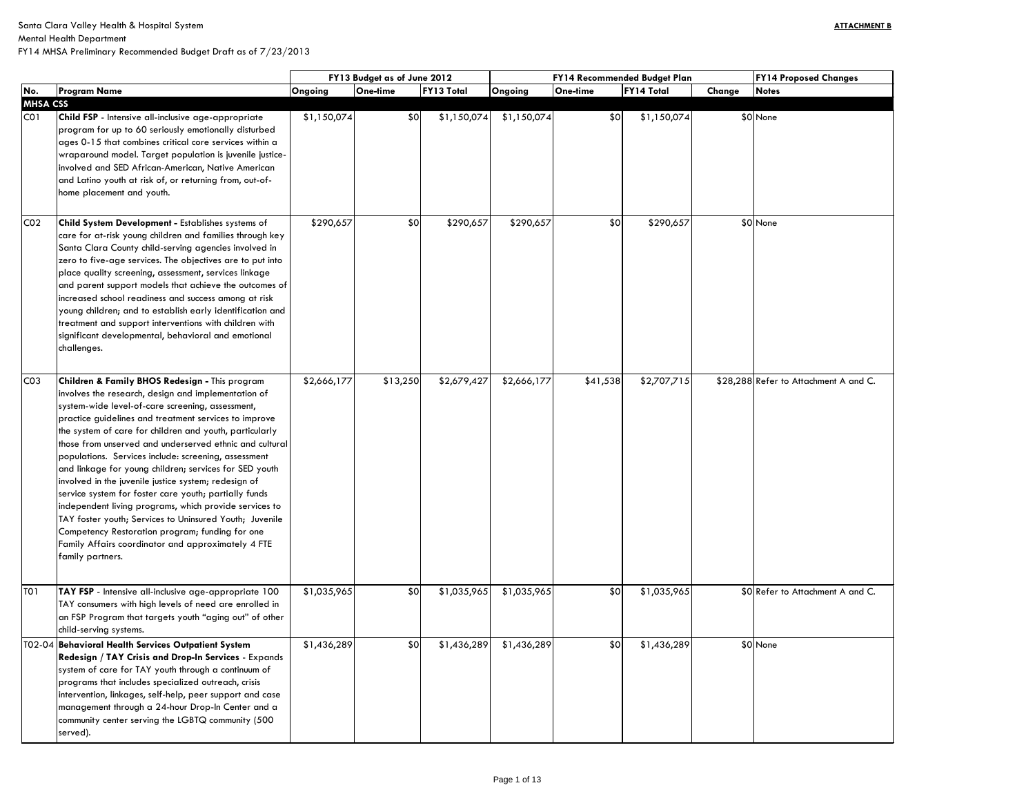Mental Health Department

| <b>FY14 Proposed Changes</b> |
|------------------------------|
| <b>Notes</b>                 |
|                              |
| None                         |
|                              |
|                              |
|                              |
|                              |
|                              |
|                              |
|                              |
|                              |
| None                         |
|                              |
|                              |
|                              |
|                              |
|                              |
|                              |
|                              |
|                              |
|                              |
|                              |
|                              |
|                              |
|                              |
| Refer to Attachment A and C. |
|                              |
|                              |
|                              |
|                              |
|                              |
|                              |
|                              |
|                              |
|                              |
|                              |
|                              |
|                              |
|                              |
|                              |
|                              |
|                              |
|                              |
| Refer to Attachment A and C. |
|                              |
|                              |
|                              |
| None                         |
|                              |
|                              |
|                              |
|                              |
|                              |
|                              |
|                              |
|                              |

|                            |                                                                                                                                                                                                                                                                                                                                                                                                                                                                                                                                                                                                                                                                                                                                                                                                                               | FY13 Budget as of June 2012 |          |                   | FY14 Recommended Budget Plan | <b>FY14 Proposed Changes</b> |                   |             |              |                                       |
|----------------------------|-------------------------------------------------------------------------------------------------------------------------------------------------------------------------------------------------------------------------------------------------------------------------------------------------------------------------------------------------------------------------------------------------------------------------------------------------------------------------------------------------------------------------------------------------------------------------------------------------------------------------------------------------------------------------------------------------------------------------------------------------------------------------------------------------------------------------------|-----------------------------|----------|-------------------|------------------------------|------------------------------|-------------------|-------------|--------------|---------------------------------------|
| No.<br><b>Program Name</b> |                                                                                                                                                                                                                                                                                                                                                                                                                                                                                                                                                                                                                                                                                                                                                                                                                               | Ongoing<br>One-time         |          | <b>FY13 Total</b> | Ongoing                      | One-time                     | <b>FY14 Total</b> | Change      | <b>Notes</b> |                                       |
| <b>MHSA CSS</b>            |                                                                                                                                                                                                                                                                                                                                                                                                                                                                                                                                                                                                                                                                                                                                                                                                                               |                             |          |                   |                              |                              |                   |             |              |                                       |
| CO <sub>1</sub>            | Child FSP - Intensive all-inclusive age-appropriate<br>program for up to 60 seriously emotionally disturbed<br>ages 0-15 that combines critical core services within a<br>wraparound model. Target population is juvenile justice-<br>involved and SED African-American, Native American<br>and Latino youth at risk of, or returning from, out-of-<br>home placement and youth.                                                                                                                                                                                                                                                                                                                                                                                                                                              | \$1,150,074                 |          | \$0               | \$1,150,074                  | \$1,150,074                  | \$0               | \$1,150,074 |              | \$0 None                              |
| CO <sub>2</sub>            | <b>Child System Development - Establishes systems of</b><br>care for at-risk young children and families through key<br>Santa Clara County child-serving agencies involved in<br>zero to five-age services. The objectives are to put into<br>place quality screening, assessment, services linkage<br>and parent support models that achieve the outcomes of<br>increased school readiness and success among at risk<br>young children; and to establish early identification and<br>treatment and support interventions with children with<br>significant developmental, behavioral and emotional<br>challenges.                                                                                                                                                                                                            | \$290,657                   |          | \$0               | \$290,657                    | \$290,657                    | \$0               | \$290,657   |              | \$0 None                              |
| CO <sub>3</sub>            | Children & Family BHOS Redesign - This program<br>involves the research, design and implementation of<br>system-wide level-of-care screening, assessment,<br>practice guidelines and treatment services to improve<br>the system of care for children and youth, particularly<br>those from unserved and underserved ethnic and cultural<br>populations. Services include: screening, assessment<br>and linkage for young children; services for SED youth<br>involved in the juvenile justice system; redesign of<br>service system for foster care youth; partially funds<br>independent living programs, which provide services to<br>TAY foster youth; Services to Uninsured Youth; Juvenile<br>Competency Restoration program; funding for one<br>Family Affairs coordinator and approximately 4 FTE<br>family partners. | \$2,666,177                 | \$13,250 |                   | \$2,679,427                  | \$2,666,177                  | \$41,538          | \$2,707,715 |              | \$28,288 Refer to Attachment A and C. |
| T01                        | TAY FSP - Intensive all-inclusive age-appropriate 100<br>TAY consumers with high levels of need are enrolled in<br>an FSP Program that targets youth "aging out" of other<br>child-serving systems.                                                                                                                                                                                                                                                                                                                                                                                                                                                                                                                                                                                                                           | \$1,035,965                 |          | \$0               | \$1,035,965                  | \$1,035,965                  | \$0               | \$1,035,965 |              | \$0 Refer to Attachment A and C.      |
|                            | T02-04 Behavioral Health Services Outpatient System<br>Redesign / TAY Crisis and Drop-In Services - Expands<br>system of care for TAY youth through a continuum of<br>programs that includes specialized outreach, crisis<br>intervention, linkages, self-help, peer support and case<br>management through a 24-hour Drop-In Center and a<br>community center serving the LGBTQ community (500<br>served).                                                                                                                                                                                                                                                                                                                                                                                                                   | \$1,436,289                 |          | \$0               | \$1,436,289                  | \$1,436,289                  | \$0               | \$1,436,289 |              | \$0 None                              |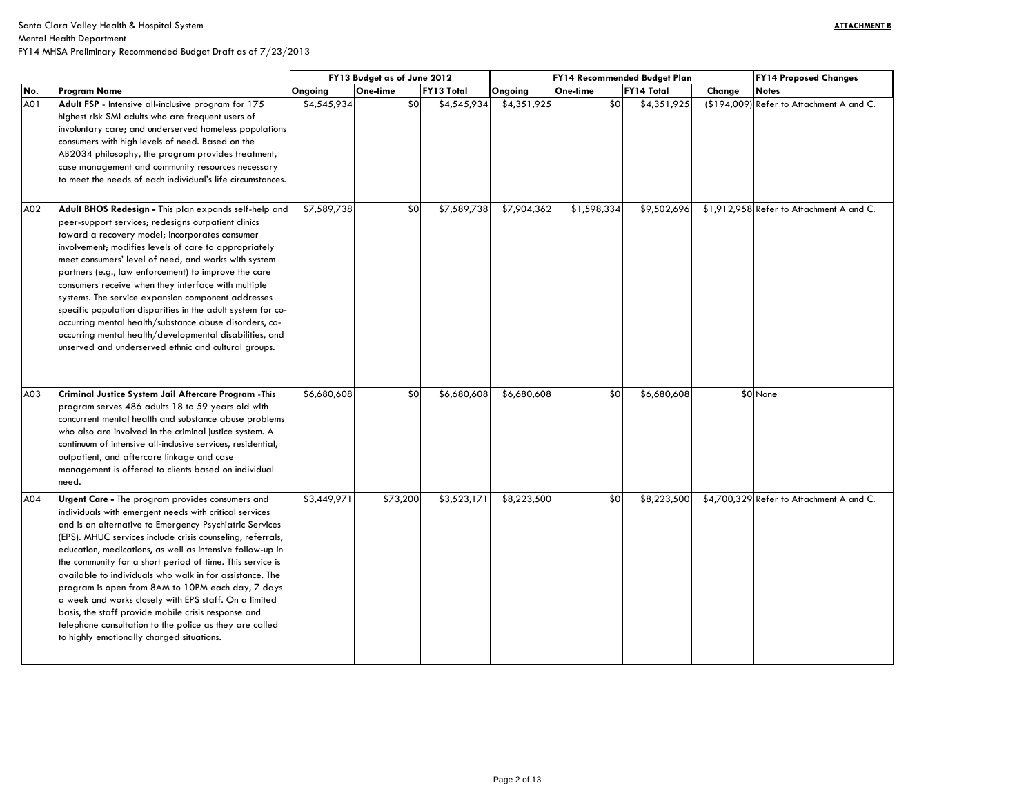## Mental Health Department

|     |                                                                                                                                                                                                                                                                                                                                                                                                                                                                                                                                                                                                                                                                                                               |             | FY13 Budget as of June 2012 |                   |             | FY14 Recommended Budget Plan |                   |        | <b>FY14 Proposed Changes</b>             |  |  |
|-----|---------------------------------------------------------------------------------------------------------------------------------------------------------------------------------------------------------------------------------------------------------------------------------------------------------------------------------------------------------------------------------------------------------------------------------------------------------------------------------------------------------------------------------------------------------------------------------------------------------------------------------------------------------------------------------------------------------------|-------------|-----------------------------|-------------------|-------------|------------------------------|-------------------|--------|------------------------------------------|--|--|
| No. | <b>Program Name</b>                                                                                                                                                                                                                                                                                                                                                                                                                                                                                                                                                                                                                                                                                           | Ongoing     | One-time                    | <b>FY13 Total</b> | Ongoing     | One-time                     | <b>FY14 Total</b> | Change | <b>Notes</b>                             |  |  |
| A01 | Adult FSP - Intensive all-inclusive program for 175<br>highest risk SMI adults who are frequent users of<br>involuntary care; and underserved homeless populations<br>consumers with high levels of need. Based on the<br>AB2034 philosophy, the program provides treatment,<br>case management and community resources necessary<br>to meet the needs of each individual's life circumstances.                                                                                                                                                                                                                                                                                                               | \$4,545,934 | \$0                         | \$4,545,934       | \$4,351,925 | \$0                          | \$4,351,925       |        | (\$194,009) Refer to Attachment A and C. |  |  |
| A02 | Adult BHOS Redesign - This plan expands self-help and<br>peer-support services; redesigns outpatient clinics<br>toward a recovery model; incorporates consumer<br>involvement; modifies levels of care to appropriately<br>meet consumers' level of need, and works with system<br>partners (e.g., law enforcement) to improve the care<br>consumers receive when they interface with multiple<br>systems. The service expansion component addresses<br>specific population disparities in the adult system for co-<br>occurring mental health/substance abuse disorders, co-<br>occurring mental health/developmental disabilities, and<br>unserved and underserved ethnic and cultural groups.              | \$7,589,738 | \$0                         | \$7,589,738       | \$7,904,362 | \$1,598,334                  | \$9,502,696       |        | \$1,912,958 Refer to Attachment A and C. |  |  |
| A03 | Criminal Justice System Jail Aftercare Program - This<br>program serves 486 adults 18 to 59 years old with<br>concurrent mental health and substance abuse problems<br>who also are involved in the criminal justice system. A<br>continuum of intensive all-inclusive services, residential,<br>outpatient, and aftercare linkage and case<br>management is offered to clients based on individual<br>need.                                                                                                                                                                                                                                                                                                  | \$6,680,608 | \$0                         | \$6,680,608       | \$6,680,608 | \$0                          | \$6,680,608       |        | \$0 None                                 |  |  |
| A04 | <b>Urgent Care -</b> The program provides consumers and<br>individuals with emergent needs with critical services<br>and is an alternative to Emergency Psychiatric Services<br>(EPS). MHUC services include crisis counseling, referrals,<br>education, medications, as well as intensive follow-up in<br>the community for a short period of time. This service is<br>available to individuals who walk in for assistance. The<br>program is open from 8AM to 10PM each day, 7 days<br>a week and works closely with EPS staff. On a limited<br>basis, the staff provide mobile crisis response and<br>telephone consultation to the police as they are called<br>to highly emotionally charged situations. | \$3,449,971 | \$73,200                    | \$3,523,171       | \$8,223,500 | \$0                          | \$8,223,500       |        | \$4,700,329 Refer to Attachment A and C. |  |  |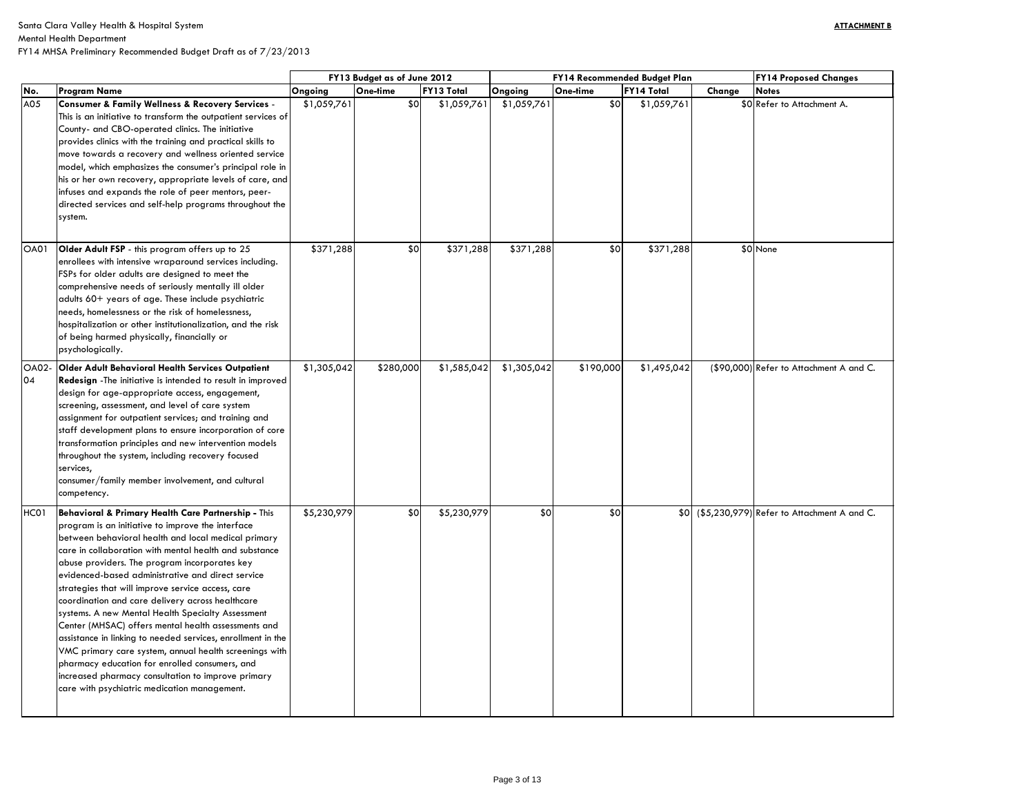| <b>FY14 Proposed Changes</b> |
|------------------------------|
| <b>Notes</b>                 |
| Refer to Attachment A.       |
|                              |
|                              |
|                              |
|                              |
|                              |
|                              |
|                              |
|                              |
|                              |
|                              |
| None                         |
|                              |
|                              |
|                              |
|                              |
|                              |
|                              |
|                              |
|                              |
|                              |
| Refer to Attachment A and C. |
|                              |
|                              |
|                              |
|                              |
|                              |
|                              |
|                              |
|                              |
|                              |
|                              |
| Refer to Attachment A and C. |
|                              |
|                              |
|                              |
|                              |
|                              |
|                              |
|                              |
|                              |
|                              |
|                              |
|                              |
|                              |
|                              |
|                              |
|                              |
|                              |

|                    |                                                                                                                                                                                                                                                                                                                                                                                                                                                                                                                                                                                                                                                                                                                                                                                                                                       | FY13 Budget as of June 2012 |           |                   | <b>FY14 Recommended Budget Plan</b> |                 | <b>FY14 Proposed Changes</b> |        |                                                |
|--------------------|---------------------------------------------------------------------------------------------------------------------------------------------------------------------------------------------------------------------------------------------------------------------------------------------------------------------------------------------------------------------------------------------------------------------------------------------------------------------------------------------------------------------------------------------------------------------------------------------------------------------------------------------------------------------------------------------------------------------------------------------------------------------------------------------------------------------------------------|-----------------------------|-----------|-------------------|-------------------------------------|-----------------|------------------------------|--------|------------------------------------------------|
| No.                | <b>Program Name</b>                                                                                                                                                                                                                                                                                                                                                                                                                                                                                                                                                                                                                                                                                                                                                                                                                   | Ongoing                     | One-time  | <b>FY13 Total</b> | Ongoing                             | <b>One-time</b> | <b>FY14 Total</b>            | Change | <b>Notes</b>                                   |
| A05                | <b>Consumer &amp; Family Wellness &amp; Recovery Services -</b><br>This is an initiative to transform the outpatient services of<br>County- and CBO-operated clinics. The initiative<br>provides clinics with the training and practical skills to<br>move towards a recovery and wellness oriented service<br>model, which emphasizes the consumer's principal role in<br>his or her own recovery, appropriate levels of care, and<br>infuses and expands the role of peer mentors, peer-<br>directed services and self-help programs throughout the<br>system.                                                                                                                                                                                                                                                                      | \$1,059,761                 | \$0       | \$1,059,761       | \$1,059,761                         | \$0             | \$1,059,761                  |        | \$0 Refer to Attachment A.                     |
| <b>OA01</b>        | Older Adult FSP - this program offers up to 25<br>enrollees with intensive wraparound services including.<br>FSPs for older adults are designed to meet the<br>comprehensive needs of seriously mentally ill older<br>adults 60+ years of age. These include psychiatric<br>needs, homelessness or the risk of homelessness,<br>hospitalization or other institutionalization, and the risk<br>of being harmed physically, financially or<br>psychologically.                                                                                                                                                                                                                                                                                                                                                                         | \$371,288                   | \$0       | \$371,288         | \$371,288                           | \$0             | \$371,288                    |        | \$0 None                                       |
| <b>OA02-</b><br>04 | <b>Older Adult Behavioral Health Services Outpatient</b><br>Redesign - The initiative is intended to result in improved<br>design for age-appropriate access, engagement,<br>screening, assessment, and level of care system<br>assignment for outpatient services; and training and<br>staff development plans to ensure incorporation of core<br>transformation principles and new intervention models<br>throughout the system, including recovery focused<br>services,<br>consumer/family member involvement, and cultural<br>competency.                                                                                                                                                                                                                                                                                         | \$1,305,042                 | \$280,000 | \$1,585,042       | \$1,305,042                         | \$190,000       | \$1,495,042                  |        | (\$90,000) Refer to Attachment A and C.        |
| HC01               | Behavioral & Primary Health Care Partnership - This<br>program is an initiative to improve the interface<br>between behavioral health and local medical primary<br>care in collaboration with mental health and substance<br>abuse providers. The program incorporates key<br>evidenced-based administrative and direct service<br>strategies that will improve service access, care<br>coordination and care delivery across healthcare<br>systems. A new Mental Health Specialty Assessment<br>Center (MHSAC) offers mental health assessments and<br>assistance in linking to needed services, enrollment in the<br>VMC primary care system, annual health screenings with<br>pharmacy education for enrolled consumers, and<br>increased pharmacy consultation to improve primary<br>care with psychiatric medication management. | \$5,230,979                 | \$0       | \$5,230,979       | \$0                                 | \$0             |                              |        | \$0 (\$5,230,979) Refer to Attachment A and C. |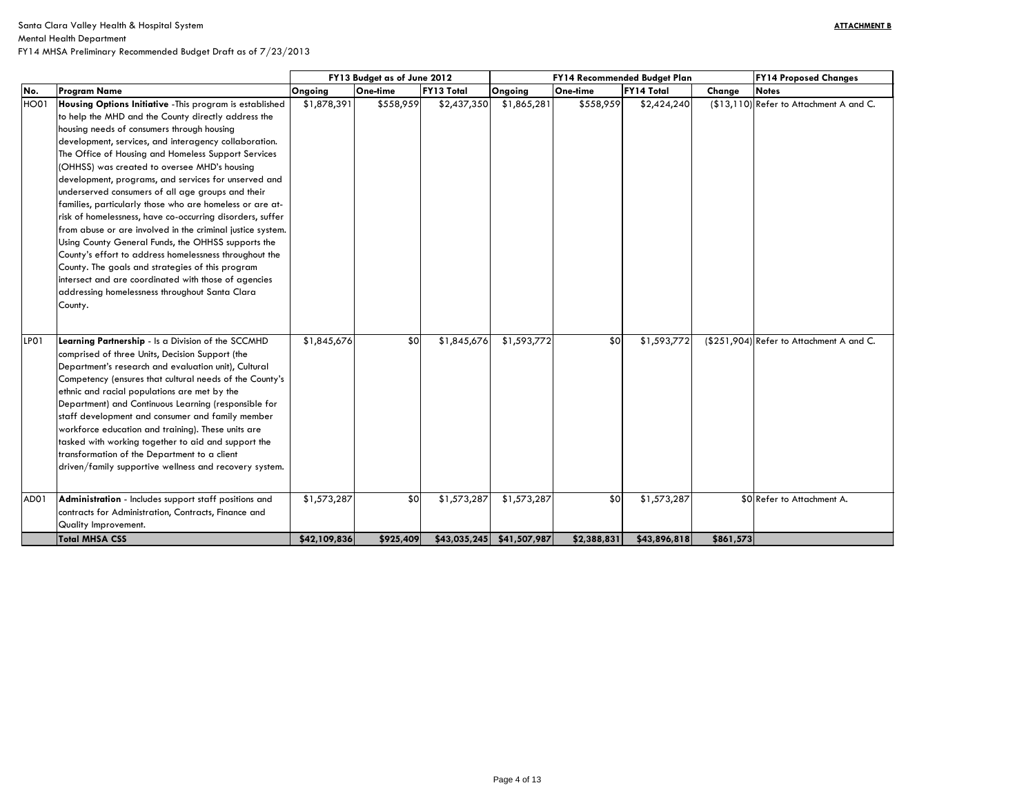| FY14 Proposed Changes        |
|------------------------------|
| <b>Notes</b>                 |
| Refer to Attachment A and C. |
| Refer to Attachment A and C. |
| Refer to Attachment A.       |
|                              |

|                   |                                                            | FY13 Budget as of June 2012 |           |                   |                             | FY14 Recommended Budget Plan |                   | <b>FY14 Proposed Changes</b> |                                          |  |
|-------------------|------------------------------------------------------------|-----------------------------|-----------|-------------------|-----------------------------|------------------------------|-------------------|------------------------------|------------------------------------------|--|
| No.               | <b>Program Name</b>                                        | Ongoing                     | One-time  | <b>FY13 Total</b> | Ongoing                     | One-time                     | <b>FY14 Total</b> | Change                       | <b>Notes</b>                             |  |
| <b>HO01</b>       | Housing Options Initiative - This program is established   | \$1,878,391                 | \$558,959 | \$2,437,350       | \$1,865,281                 | \$558,959                    | \$2,424,240       |                              | (\$13,110) Refer to Attachment A and C.  |  |
|                   | to help the MHD and the County directly address the        |                             |           |                   |                             |                              |                   |                              |                                          |  |
|                   | housing needs of consumers through housing                 |                             |           |                   |                             |                              |                   |                              |                                          |  |
|                   | development, services, and interagency collaboration.      |                             |           |                   |                             |                              |                   |                              |                                          |  |
|                   | The Office of Housing and Homeless Support Services        |                             |           |                   |                             |                              |                   |                              |                                          |  |
|                   | (OHHSS) was created to oversee MHD's housing               |                             |           |                   |                             |                              |                   |                              |                                          |  |
|                   | development, programs, and services for unserved and       |                             |           |                   |                             |                              |                   |                              |                                          |  |
|                   | underserved consumers of all age groups and their          |                             |           |                   |                             |                              |                   |                              |                                          |  |
|                   | families, particularly those who are homeless or are at-   |                             |           |                   |                             |                              |                   |                              |                                          |  |
|                   | risk of homelessness, have co-occurring disorders, suffer  |                             |           |                   |                             |                              |                   |                              |                                          |  |
|                   | from abuse or are involved in the criminal justice system. |                             |           |                   |                             |                              |                   |                              |                                          |  |
|                   | Using County General Funds, the OHHSS supports the         |                             |           |                   |                             |                              |                   |                              |                                          |  |
|                   | County's effort to address homelessness throughout the     |                             |           |                   |                             |                              |                   |                              |                                          |  |
|                   | County. The goals and strategies of this program           |                             |           |                   |                             |                              |                   |                              |                                          |  |
|                   | intersect and are coordinated with those of agencies       |                             |           |                   |                             |                              |                   |                              |                                          |  |
|                   | addressing homelessness throughout Santa Clara             |                             |           |                   |                             |                              |                   |                              |                                          |  |
|                   | County.                                                    |                             |           |                   |                             |                              |                   |                              |                                          |  |
|                   |                                                            |                             |           |                   |                             |                              |                   |                              |                                          |  |
|                   |                                                            |                             |           |                   |                             |                              |                   |                              |                                          |  |
| LPO1              | Learning Partnership - Is a Division of the SCCMHD         | \$1,845,676                 | \$0       | \$1,845,676       | \$1,593,772                 | \$0                          | \$1,593,772       |                              | (\$251,904) Refer to Attachment A and C. |  |
|                   | comprised of three Units, Decision Support (the            |                             |           |                   |                             |                              |                   |                              |                                          |  |
|                   | Department's research and evaluation unit), Cultural       |                             |           |                   |                             |                              |                   |                              |                                          |  |
|                   | Competency (ensures that cultural needs of the County's    |                             |           |                   |                             |                              |                   |                              |                                          |  |
|                   | ethnic and racial populations are met by the               |                             |           |                   |                             |                              |                   |                              |                                          |  |
|                   | Department) and Continuous Learning (responsible for       |                             |           |                   |                             |                              |                   |                              |                                          |  |
|                   | staff development and consumer and family member           |                             |           |                   |                             |                              |                   |                              |                                          |  |
|                   | workforce education and training). These units are         |                             |           |                   |                             |                              |                   |                              |                                          |  |
|                   | tasked with working together to aid and support the        |                             |           |                   |                             |                              |                   |                              |                                          |  |
|                   | transformation of the Department to a client               |                             |           |                   |                             |                              |                   |                              |                                          |  |
|                   | driven/family supportive wellness and recovery system.     |                             |           |                   |                             |                              |                   |                              |                                          |  |
| AD <sub>0</sub> 1 | Administration - Includes support staff positions and      | \$1,573,287                 | \$0       | \$1,573,287       | \$1,573,287                 | \$0                          | \$1,573,287       |                              | \$0 Refer to Attachment A.               |  |
|                   | contracts for Administration, Contracts, Finance and       |                             |           |                   |                             |                              |                   |                              |                                          |  |
|                   | Quality Improvement.                                       |                             |           |                   |                             |                              |                   |                              |                                          |  |
|                   | <b>Total MHSA CSS</b>                                      | \$42,109,836                | \$925,409 |                   | $$43,035,245$ $$41,507,987$ | \$2,388,831                  | \$43,896,818]     | \$861,573                    |                                          |  |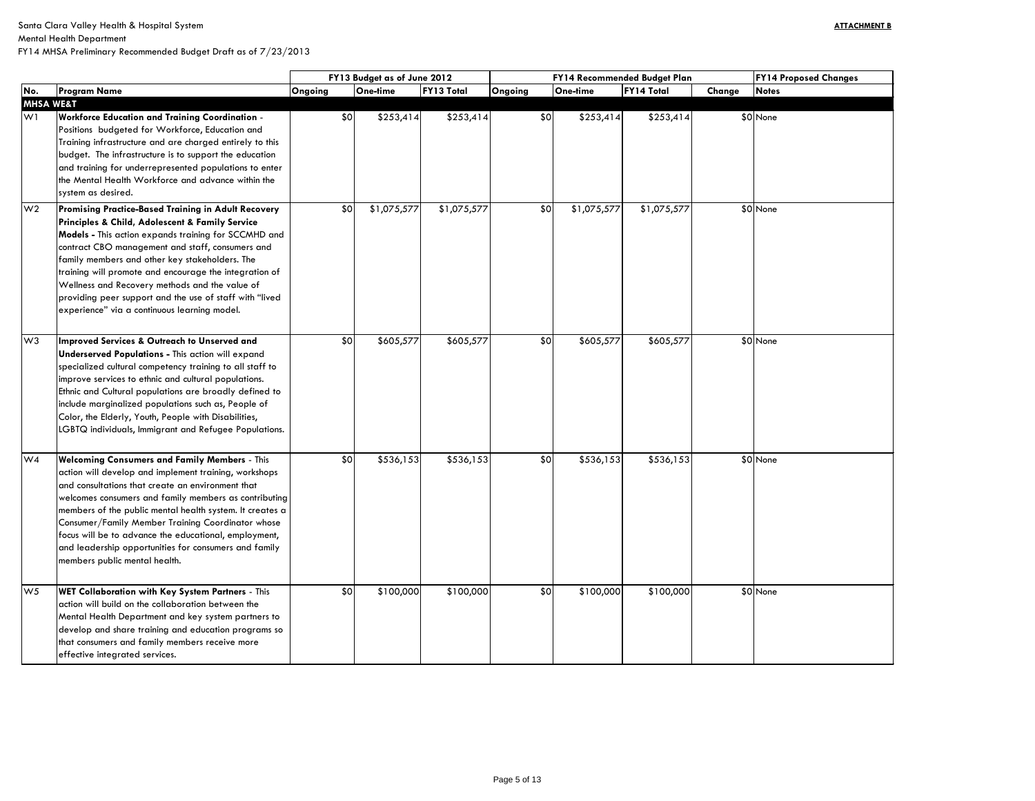Mental Health Department

| FY14 Proposed Changes |
|-----------------------|
| <b>Notes</b>          |
|                       |
| None                  |
|                       |
|                       |
|                       |
|                       |
|                       |
|                       |
| None                  |
|                       |
|                       |
|                       |
|                       |
|                       |
|                       |
|                       |
|                       |
| None                  |
|                       |
|                       |
|                       |
|                       |
|                       |
|                       |
|                       |
|                       |
| None                  |
|                       |
|                       |
|                       |
|                       |
|                       |
|                       |
|                       |
|                       |
| None                  |
|                       |
|                       |
|                       |
|                       |
|                       |

|                      |                                                                                                                                                                                                                                                                                                                                                                                                                                                                                                    | FY13 Budget as of June 2012 |             |                   |         | FY14 Recommended Budget Plan | <b>FY14</b>       |        |              |
|----------------------|----------------------------------------------------------------------------------------------------------------------------------------------------------------------------------------------------------------------------------------------------------------------------------------------------------------------------------------------------------------------------------------------------------------------------------------------------------------------------------------------------|-----------------------------|-------------|-------------------|---------|------------------------------|-------------------|--------|--------------|
| No.                  | <b>Program Name</b>                                                                                                                                                                                                                                                                                                                                                                                                                                                                                | Ongoing                     | One-time    | <b>FY13 Total</b> | Ongoing | One-time                     | <b>FY14 Total</b> | Change | <b>Notes</b> |
| <b>MHSA WE&amp;T</b> |                                                                                                                                                                                                                                                                                                                                                                                                                                                                                                    |                             |             |                   |         |                              |                   |        |              |
| W <sub>1</sub>       | <b>Workforce Education and Training Coordination -</b><br>Positions budgeted for Workforce, Education and<br>Training infrastructure and are charged entirely to this<br>budget. The infrastructure is to support the education<br>and training for underrepresented populations to enter<br>the Mental Health Workforce and advance within the<br>system as desired.                                                                                                                              | \$0                         | \$253,414   | \$253,414         | \$0     | \$253,414                    | \$253,414         |        | \$0 None     |
| W <sub>2</sub>       | <b>Promising Practice-Based Training in Adult Recovery</b><br>Principles & Child, Adolescent & Family Service<br>Models - This action expands training for SCCMHD and<br>contract CBO management and staff, consumers and<br>family members and other key stakeholders. The<br>training will promote and encourage the integration of<br>Wellness and Recovery methods and the value of<br>providing peer support and the use of staff with "lived<br>experience" via a continuous learning model. | \$0                         | \$1,075,577 | \$1,075,577       | \$0     | \$1,075,577                  | \$1,075,577       |        | \$0 None     |
| W <sub>3</sub>       | Improved Services & Outreach to Unserved and<br><b>Underserved Populations - This action will expand</b><br>specialized cultural competency training to all staff to<br>improve services to ethnic and cultural populations.<br>Ethnic and Cultural populations are broadly defined to<br>include marginalized populations such as, People of<br>Color, the Elderly, Youth, People with Disabilities,<br>LGBTQ individuals, Immigrant and Refugee Populations.                                     | \$0                         | \$605,577   | \$605,577         | \$0     | \$605,577                    | \$605,577         |        | \$0 None     |
| W4                   | <b>Welcoming Consumers and Family Members - This</b><br>action will develop and implement training, workshops<br>and consultations that create an environment that<br>welcomes consumers and family members as contributing<br>members of the public mental health system. It creates a<br>Consumer/Family Member Training Coordinator whose<br>focus will be to advance the educational, employment,<br>and leadership opportunities for consumers and family<br>members public mental health.    | \$0                         | \$536,153   | \$536,153         | \$0     | \$536,153                    | \$536,153         |        | \$0 None     |
| W <sub>5</sub>       | WET Collaboration with Key System Partners - This<br>action will build on the collaboration between the<br>Mental Health Department and key system partners to<br>develop and share training and education programs so<br>that consumers and family members receive more<br>effective integrated services.                                                                                                                                                                                         | \$0                         | \$100,000   | \$100,000         | \$0     | \$100,000                    | \$100,000         |        | \$0 None     |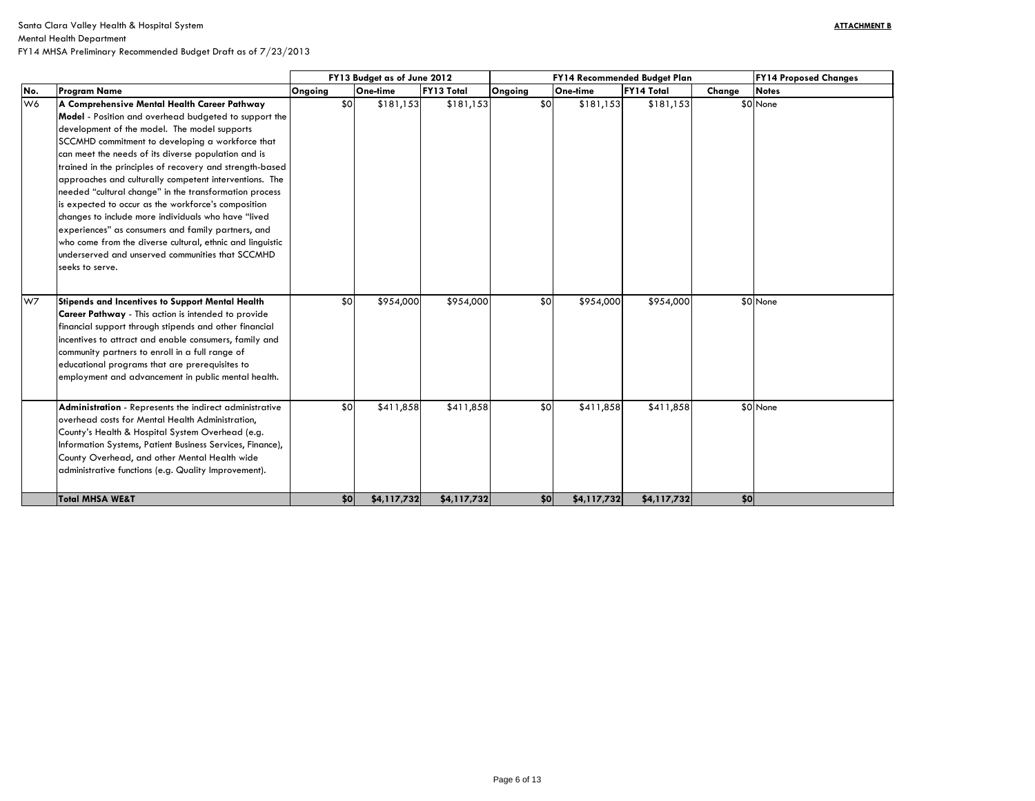| FY14 Proposed Changes |
|-----------------------|
| Notes                 |
| None                  |
| None                  |
| None                  |
|                       |

|     |                                                                                                                                                                                                                                                                                                                                                                                                                                                                                                                                                                                                                                                                                                                                                          | FY13 Budget as of June 2012 |     |             |                   | <b>FY14</b><br>FY14 Recommended Budget Plan |     |             |             |        |           |
|-----|----------------------------------------------------------------------------------------------------------------------------------------------------------------------------------------------------------------------------------------------------------------------------------------------------------------------------------------------------------------------------------------------------------------------------------------------------------------------------------------------------------------------------------------------------------------------------------------------------------------------------------------------------------------------------------------------------------------------------------------------------------|-----------------------------|-----|-------------|-------------------|---------------------------------------------|-----|-------------|-------------|--------|-----------|
| No. | <b>Program Name</b>                                                                                                                                                                                                                                                                                                                                                                                                                                                                                                                                                                                                                                                                                                                                      | Ongoing                     |     | One-time    | <b>FY13 Total</b> | Ongoing                                     |     | One-time    | FY14 Total  | Change | Notes     |
| W6  | A Comprehensive Mental Health Career Pathway<br>Model - Position and overhead budgeted to support the<br>development of the model. The model supports<br>SCCMHD commitment to developing a workforce that<br>can meet the needs of its diverse population and is<br>trained in the principles of recovery and strength-based<br>approaches and culturally competent interventions. The<br>needed "cultural change" in the transformation process<br>is expected to occur as the workforce's composition<br>changes to include more individuals who have "lived<br>experiences" as consumers and family partners, and<br>who come from the diverse cultural, ethnic and linguistic<br>underserved and unserved communities that SCCMHD<br>seeks to serve. |                             | \$0 | \$181,153   | \$181,153         |                                             | \$0 | \$181,153   | \$181,153   |        | $$0$ None |
| W7  | Stipends and Incentives to Support Mental Health<br>Career Pathway - This action is intended to provide<br>financial support through stipends and other financial<br>incentives to attract and enable consumers, family and<br>community partners to enroll in a full range of<br>educational programs that are prerequisites to<br>employment and advancement in public mental health.                                                                                                                                                                                                                                                                                                                                                                  |                             | \$0 | \$954,000   | \$954,000         |                                             | \$0 | \$954,000   | \$954,000   |        | $$0$ None |
|     | Administration - Represents the indirect administrative<br>overhead costs for Mental Health Administration,<br>County's Health & Hospital System Overhead (e.g.<br>Information Systems, Patient Business Services, Finance),<br>County Overhead, and other Mental Health wide<br>administrative functions (e.g. Quality Improvement).                                                                                                                                                                                                                                                                                                                                                                                                                    |                             | \$0 | \$411,858   | \$411,858         |                                             | \$0 | \$411,858   | \$411,858   |        | \$0 None  |
|     | <b>Total MHSA WE&amp;T</b>                                                                                                                                                                                                                                                                                                                                                                                                                                                                                                                                                                                                                                                                                                                               |                             | \$0 | \$4,117,732 | \$4,117,732       |                                             | \$0 | \$4,117,732 | \$4,117,732 | \$0    |           |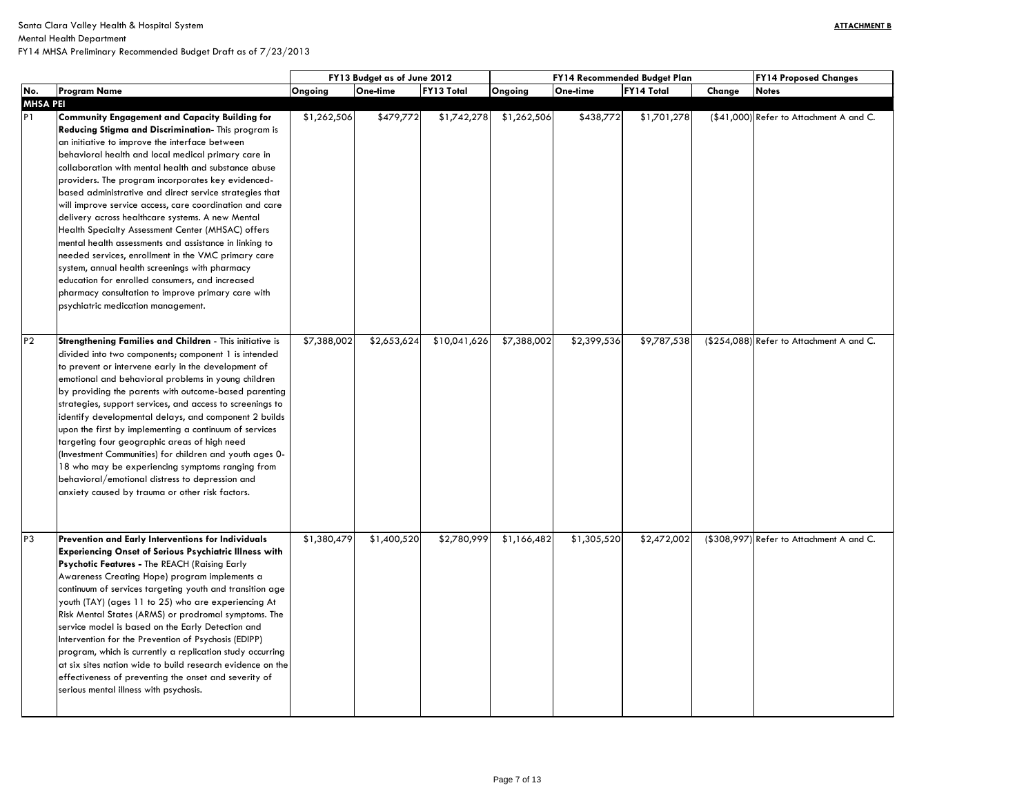| <b>FY14 Proposed Changes</b> |
|------------------------------|
| <b>Notes</b>                 |
| Refer to Attachment A and C. |
|                              |
| Refer to Attachment A and C. |
| Refer to Attachment A and C. |

|                 |                                                                                                               | FY13 Budget as of June 2012 |             |                   | FY14 Recommended Budget Plan |             | <b>FY14 Proposed Changes</b> |        |                                          |
|-----------------|---------------------------------------------------------------------------------------------------------------|-----------------------------|-------------|-------------------|------------------------------|-------------|------------------------------|--------|------------------------------------------|
| No.             | <b>Program Name</b>                                                                                           | Ongoing                     | One-time    | <b>FY13 Total</b> | Ongoing                      | One-time    | <b>FY14 Total</b>            | Change | <b>Notes</b>                             |
| <b>MHSA PEI</b> |                                                                                                               |                             |             |                   |                              |             |                              |        |                                          |
| P <sub>1</sub>  | <b>Community Engagement and Capacity Building for</b>                                                         | \$1,262,506                 | \$479,772   | \$1,742,278       | \$1,262,506                  | \$438,772   | \$1,701,278                  |        | (\$41,000) Refer to Attachment A and C.  |
|                 | Reducing Stigma and Discrimination- This program is                                                           |                             |             |                   |                              |             |                              |        |                                          |
|                 | an initiative to improve the interface between                                                                |                             |             |                   |                              |             |                              |        |                                          |
|                 | behavioral health and local medical primary care in<br>collaboration with mental health and substance abuse   |                             |             |                   |                              |             |                              |        |                                          |
|                 |                                                                                                               |                             |             |                   |                              |             |                              |        |                                          |
|                 | providers. The program incorporates key evidenced-<br>based administrative and direct service strategies that |                             |             |                   |                              |             |                              |        |                                          |
|                 | will improve service access, care coordination and care                                                       |                             |             |                   |                              |             |                              |        |                                          |
|                 | delivery across healthcare systems. A new Mental                                                              |                             |             |                   |                              |             |                              |        |                                          |
|                 | Health Specialty Assessment Center (MHSAC) offers                                                             |                             |             |                   |                              |             |                              |        |                                          |
|                 | mental health assessments and assistance in linking to                                                        |                             |             |                   |                              |             |                              |        |                                          |
|                 | needed services, enrollment in the VMC primary care                                                           |                             |             |                   |                              |             |                              |        |                                          |
|                 | system, annual health screenings with pharmacy                                                                |                             |             |                   |                              |             |                              |        |                                          |
|                 | education for enrolled consumers, and increased                                                               |                             |             |                   |                              |             |                              |        |                                          |
|                 | pharmacy consultation to improve primary care with                                                            |                             |             |                   |                              |             |                              |        |                                          |
|                 | psychiatric medication management.                                                                            |                             |             |                   |                              |             |                              |        |                                          |
|                 |                                                                                                               |                             |             |                   |                              |             |                              |        |                                          |
|                 |                                                                                                               |                             |             |                   |                              |             |                              |        |                                          |
| P <sub>2</sub>  | Strengthening Families and Children - This initiative is                                                      | \$7,388,002                 | \$2,653,624 | \$10,041,626      | \$7,388,002                  | \$2,399,536 | \$9,787,538                  |        | (\$254,088) Refer to Attachment A and C. |
|                 | divided into two components; component 1 is intended<br>to prevent or intervene early in the development of   |                             |             |                   |                              |             |                              |        |                                          |
|                 | emotional and behavioral problems in young children                                                           |                             |             |                   |                              |             |                              |        |                                          |
|                 | by providing the parents with outcome-based parenting                                                         |                             |             |                   |                              |             |                              |        |                                          |
|                 | strategies, support services, and access to screenings to                                                     |                             |             |                   |                              |             |                              |        |                                          |
|                 | identify developmental delays, and component 2 builds                                                         |                             |             |                   |                              |             |                              |        |                                          |
|                 | upon the first by implementing a continuum of services                                                        |                             |             |                   |                              |             |                              |        |                                          |
|                 | targeting four geographic areas of high need                                                                  |                             |             |                   |                              |             |                              |        |                                          |
|                 | (Investment Communities) for children and youth ages 0-                                                       |                             |             |                   |                              |             |                              |        |                                          |
|                 | 18 who may be experiencing symptoms ranging from                                                              |                             |             |                   |                              |             |                              |        |                                          |
|                 | behavioral/emotional distress to depression and                                                               |                             |             |                   |                              |             |                              |        |                                          |
|                 | anxiety caused by trauma or other risk factors.                                                               |                             |             |                   |                              |             |                              |        |                                          |
|                 |                                                                                                               |                             |             |                   |                              |             |                              |        |                                          |
|                 |                                                                                                               |                             |             |                   |                              |             |                              |        |                                          |
| P <sub>3</sub>  | Prevention and Early Interventions for Individuals                                                            | \$1,380,479                 | \$1,400,520 | \$2,780,999       | \$1,166,482                  | \$1,305,520 | \$2,472,002                  |        | (\$308,997) Refer to Attachment A and C. |
|                 | <b>Experiencing Onset of Serious Psychiatric Illness with</b>                                                 |                             |             |                   |                              |             |                              |        |                                          |
|                 | <b>Psychotic Features - The REACH (Raising Early</b>                                                          |                             |             |                   |                              |             |                              |        |                                          |
|                 | Awareness Creating Hope) program implements a                                                                 |                             |             |                   |                              |             |                              |        |                                          |
|                 | continuum of services targeting youth and transition age                                                      |                             |             |                   |                              |             |                              |        |                                          |
|                 | youth (TAY) (ages 11 to 25) who are experiencing At                                                           |                             |             |                   |                              |             |                              |        |                                          |
|                 | Risk Mental States (ARMS) or prodromal symptoms. The                                                          |                             |             |                   |                              |             |                              |        |                                          |
|                 | service model is based on the Early Detection and                                                             |                             |             |                   |                              |             |                              |        |                                          |
|                 | Intervention for the Prevention of Psychosis (EDIPP)                                                          |                             |             |                   |                              |             |                              |        |                                          |
|                 | program, which is currently a replication study occurring                                                     |                             |             |                   |                              |             |                              |        |                                          |
|                 | at six sites nation wide to build research evidence on the                                                    |                             |             |                   |                              |             |                              |        |                                          |
|                 | effectiveness of preventing the onset and severity of                                                         |                             |             |                   |                              |             |                              |        |                                          |
|                 | serious mental illness with psychosis.                                                                        |                             |             |                   |                              |             |                              |        |                                          |
|                 |                                                                                                               |                             |             |                   |                              |             |                              |        |                                          |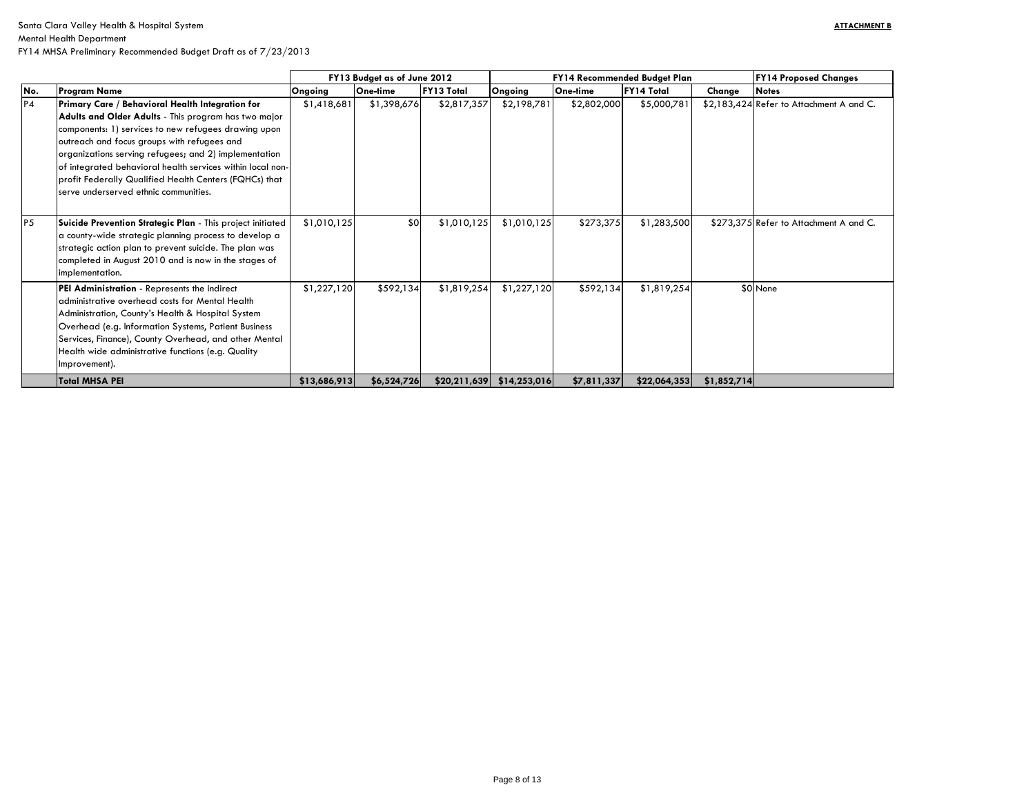|                |                                                                                                                                                                                                                                                                                                                                                                                                                                           | FY13 Budget as of June 2012 |             |                   |              | <b>FY14 Recommended Budget Plan</b> | <b>FY14 Proposed Changes</b> |             |                                          |
|----------------|-------------------------------------------------------------------------------------------------------------------------------------------------------------------------------------------------------------------------------------------------------------------------------------------------------------------------------------------------------------------------------------------------------------------------------------------|-----------------------------|-------------|-------------------|--------------|-------------------------------------|------------------------------|-------------|------------------------------------------|
| No.            | <b>Program Name</b>                                                                                                                                                                                                                                                                                                                                                                                                                       | <b>Ongoing</b>              | One-time    | <b>FY13 Total</b> | Ongoing      | <b>One-time</b>                     | <b>FY14 Total</b>            | Change      | <b>Notes</b>                             |
| P <sub>4</sub> | Primary Care / Behavioral Health Integration for<br>Adults and Older Adults - This program has two major<br>components: 1) services to new refugees drawing upon<br>outreach and focus groups with refugees and<br>organizations serving refugees; and 2) implementation<br>of integrated behavioral health services within local non-<br>profit Federally Qualified Health Centers (FQHCs) that<br>serve underserved ethnic communities. | \$1,418,681                 | \$1,398,676 | \$2,817,357       | \$2,198,781  | \$2,802,000                         | \$5,000,781                  |             | \$2,183,424 Refer to Attachment A and C. |
| P <sub>5</sub> | Suicide Prevention Strategic Plan - This project initiated<br>a county-wide strategic planning process to develop a<br>strategic action plan to prevent suicide. The plan was<br>completed in August 2010 and is now in the stages of<br>implementation.                                                                                                                                                                                  | \$1,010,125                 | \$0         | \$1,010,125       | \$1,010,125  | \$273,375                           | \$1,283,500                  |             | \$273,375 Refer to Attachment A and C.   |
|                | PEI Administration - Represents the indirect<br>administrative overhead costs for Mental Health<br>Administration, County's Health & Hospital System<br>Overhead (e.g. Information Systems, Patient Business<br>Services, Finance), County Overhead, and other Mental<br>Health wide administrative functions (e.g. Quality<br>Improvement).                                                                                              | \$1,227,120                 | \$592,134   | \$1,819,254       | \$1,227,120  | \$592,134                           | \$1,819,254                  |             | \$0 None                                 |
|                | <b>Total MHSA PEI</b>                                                                                                                                                                                                                                                                                                                                                                                                                     | \$13,686,913                | \$6,524,726 | \$20,211,639      | \$14,253,016 | \$7,811,337                         | \$22,064,353                 | \$1,852,714 |                                          |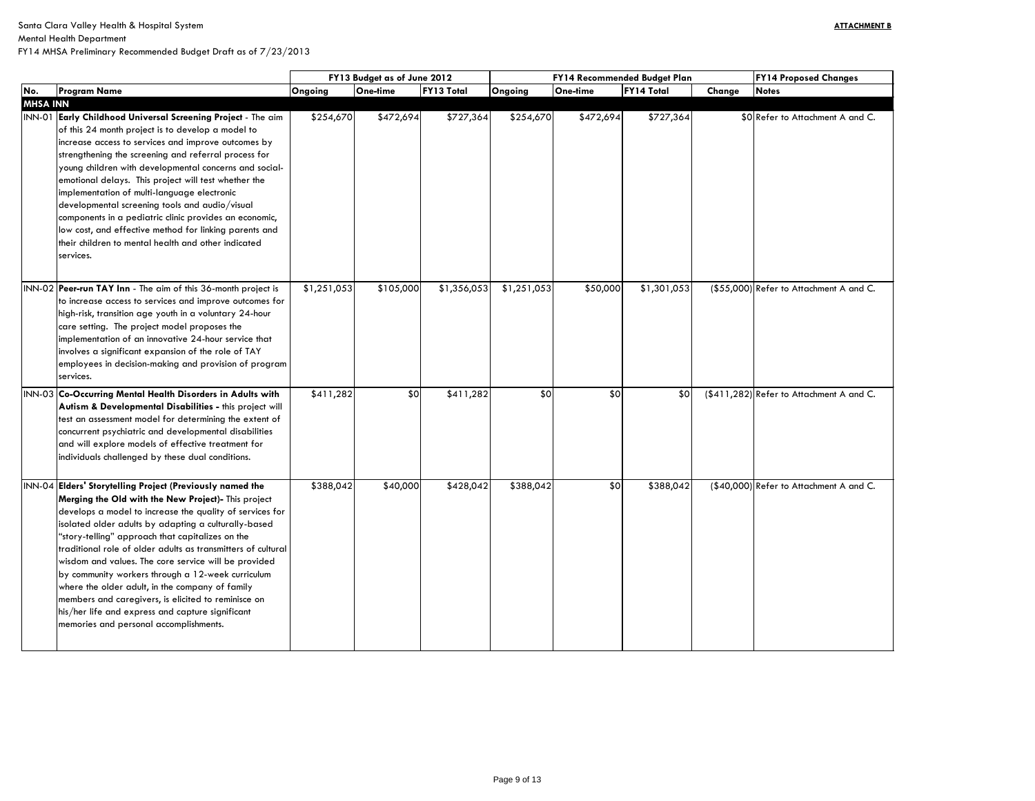Mental Health Department

|                 |                                                                                                                                                                                                                                                                                                                                                                                                                                                                                                                                                                                                                                                                               |             | FY13 Budget as of June 2012 |                   |             | FY14 Recommended Budget Plan | <b>FY14 Proposed Changes</b> |        |                                          |
|-----------------|-------------------------------------------------------------------------------------------------------------------------------------------------------------------------------------------------------------------------------------------------------------------------------------------------------------------------------------------------------------------------------------------------------------------------------------------------------------------------------------------------------------------------------------------------------------------------------------------------------------------------------------------------------------------------------|-------------|-----------------------------|-------------------|-------------|------------------------------|------------------------------|--------|------------------------------------------|
| No.             | <b>Program Name</b>                                                                                                                                                                                                                                                                                                                                                                                                                                                                                                                                                                                                                                                           | Ongoing     | <b>One-time</b>             | <b>FY13 Total</b> | Ongoing     | One-time                     | <b>FY14 Total</b>            | Change | <b>Notes</b>                             |
| <b>MHSA INN</b> |                                                                                                                                                                                                                                                                                                                                                                                                                                                                                                                                                                                                                                                                               |             |                             |                   |             |                              |                              |        |                                          |
|                 | INN-01 Early Childhood Universal Screening Project - The aim<br>of this 24 month project is to develop a model to<br>increase access to services and improve outcomes by<br>strengthening the screening and referral process for<br>young children with developmental concerns and social-<br>emotional delays. This project will test whether the<br>implementation of multi-language electronic<br>developmental screening tools and audio/visual<br>components in a pediatric clinic provides an economic,<br>low cost, and effective method for linking parents and<br>their children to mental health and other indicated<br>services.                                   | \$254,670   | \$472,694                   | \$727,364         | \$254,670   | \$472,694                    | \$727,364                    |        | \$0 Refer to Attachment A and C.         |
|                 | INN-02 Peer-run TAY Inn - The aim of this 36-month project is<br>to increase access to services and improve outcomes for<br>high-risk, transition age youth in a voluntary 24-hour<br>care setting. The project model proposes the<br>implementation of an innovative 24-hour service that<br>involves a significant expansion of the role of TAY<br>employees in decision-making and provision of program<br>services.                                                                                                                                                                                                                                                       | \$1,251,053 | \$105,000                   | \$1,356,053       | \$1,251,053 | \$50,000                     | \$1,301,053                  |        | (\$55,000) Refer to Attachment A and C.  |
|                 | INN-03 Co-Occurring Mental Health Disorders in Adults with<br>Autism & Developmental Disabilities - this project will<br>test an assessment model for determining the extent of<br>concurrent psychiatric and developmental disabilities<br>and will explore models of effective treatment for<br>individuals challenged by these dual conditions.                                                                                                                                                                                                                                                                                                                            | \$411,282   | \$0                         | \$411,282         | \$0         | \$0                          | \$0                          |        | (\$411,282) Refer to Attachment A and C. |
|                 | INN-04 Elders' Storytelling Project (Previously named the<br>Merging the Old with the New Project)- This project<br>develops a model to increase the quality of services for<br>isolated older adults by adapting a culturally-based<br>"story-telling" approach that capitalizes on the<br>traditional role of older adults as transmitters of cultural<br>wisdom and values. The core service will be provided<br>by community workers through a 12-week curriculum<br>where the older adult, in the company of family<br>members and caregivers, is elicited to reminisce on<br>his/her life and express and capture significant<br>memories and personal accomplishments. | \$388,042   | \$40,000                    | \$428,042         | \$388,042   | \$0                          | \$388,042                    |        | (\$40,000) Refer to Attachment A and C.  |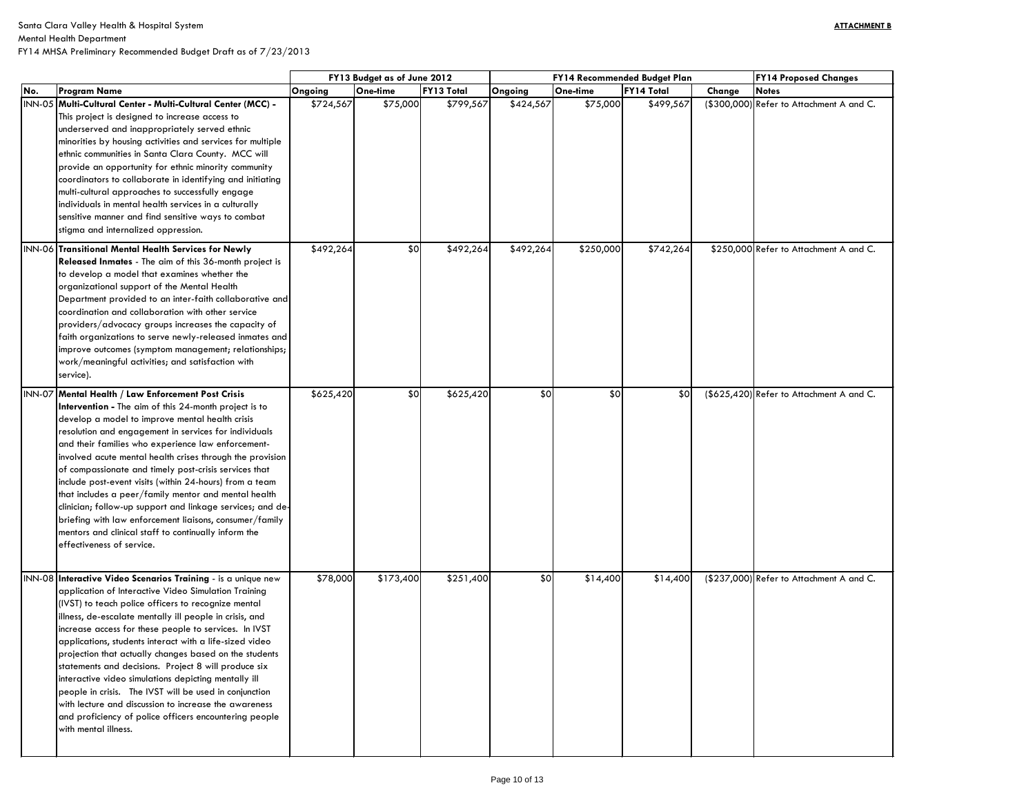### Mental Health Department

|     |                                                                                                                                                                                                                                                                                                                                                                                                                                                                                                                                                                                                                                                                                                                                            |           | FY13 Budget as of June 2012 |                   |           |           | <b>FY14 Recommended Budget Plan</b> | <b>FY14 Proposed Changes</b>             |  |
|-----|--------------------------------------------------------------------------------------------------------------------------------------------------------------------------------------------------------------------------------------------------------------------------------------------------------------------------------------------------------------------------------------------------------------------------------------------------------------------------------------------------------------------------------------------------------------------------------------------------------------------------------------------------------------------------------------------------------------------------------------------|-----------|-----------------------------|-------------------|-----------|-----------|-------------------------------------|------------------------------------------|--|
| No. | <b>Program Name</b>                                                                                                                                                                                                                                                                                                                                                                                                                                                                                                                                                                                                                                                                                                                        | Ongoing   | One-time                    | <b>FY13 Total</b> | Ongoing   | One-time  | <b>FY14 Total</b>                   | Change<br><b>Notes</b>                   |  |
|     | INN-05 Multi-Cultural Center - Multi-Cultural Center (MCC) -<br>This project is designed to increase access to<br>underserved and inappropriately served ethnic<br>minorities by housing activities and services for multiple<br>ethnic communities in Santa Clara County. MCC will<br>provide an opportunity for ethnic minority community<br>coordinators to collaborate in identifying and initiating<br>multi-cultural approaches to successfully engage<br>individuals in mental health services in a culturally<br>sensitive manner and find sensitive ways to combat<br>stigma and internalized oppression.                                                                                                                         | \$724,567 | \$75,000                    | \$799,567         | \$424,567 | \$75,000  | \$499,567                           | (\$300,000) Refer to Attachment A and C. |  |
|     | INN-06 Transitional Mental Health Services for Newly<br>Released Inmates - The aim of this 36-month project is<br>to develop a model that examines whether the<br>organizational support of the Mental Health<br>Department provided to an inter-faith collaborative and<br>coordination and collaboration with other service<br>providers/advocacy groups increases the capacity of<br>faith organizations to serve newly-released inmates and<br>improve outcomes (symptom management; relationships;<br>work/meaningful activities; and satisfaction with<br>service).                                                                                                                                                                  | \$492,264 | \$0                         | \$492,264         | \$492,264 | \$250,000 | \$742,264                           | \$250,000 Refer to Attachment A and C.   |  |
|     | INN-07 Mental Health / Law Enforcement Post Crisis<br>Intervention - The aim of this 24-month project is to<br>develop a model to improve mental health crisis<br>resolution and engagement in services for individuals<br>and their families who experience law enforcement-<br>involved acute mental health crises through the provision<br>of compassionate and timely post-crisis services that<br>include post-event visits (within 24-hours) from a team<br>that includes a peer/family mentor and mental health<br>clinician; follow-up support and linkage services; and de-<br>briefing with law enforcement liaisons, consumer/family<br>mentors and clinical staff to continually inform the<br>effectiveness of service.       | \$625,420 | \$0                         | \$625,420         | \$0       | \$0       | \$0                                 | (\$625,420) Refer to Attachment A and C. |  |
|     | INN-08 Interactive Video Scenarios Training - is a unique new<br>application of Interactive Video Simulation Training<br>(IVST) to teach police officers to recognize mental<br>illness, de-escalate mentally ill people in crisis, and<br>increase access for these people to services. In IVST<br>applications, students interact with a life-sized video<br>projection that actually changes based on the students<br>statements and decisions. Project 8 will produce six<br>interactive video simulations depicting mentally ill<br>people in crisis. The IVST will be used in conjunction<br>with lecture and discussion to increase the awareness<br>and proficiency of police officers encountering people<br>with mental illness. | \$78,000  | \$173,400                   | \$251,400         | \$0       | \$14,400  | \$14,400                            | (\$237,000) Refer to Attachment A and C. |  |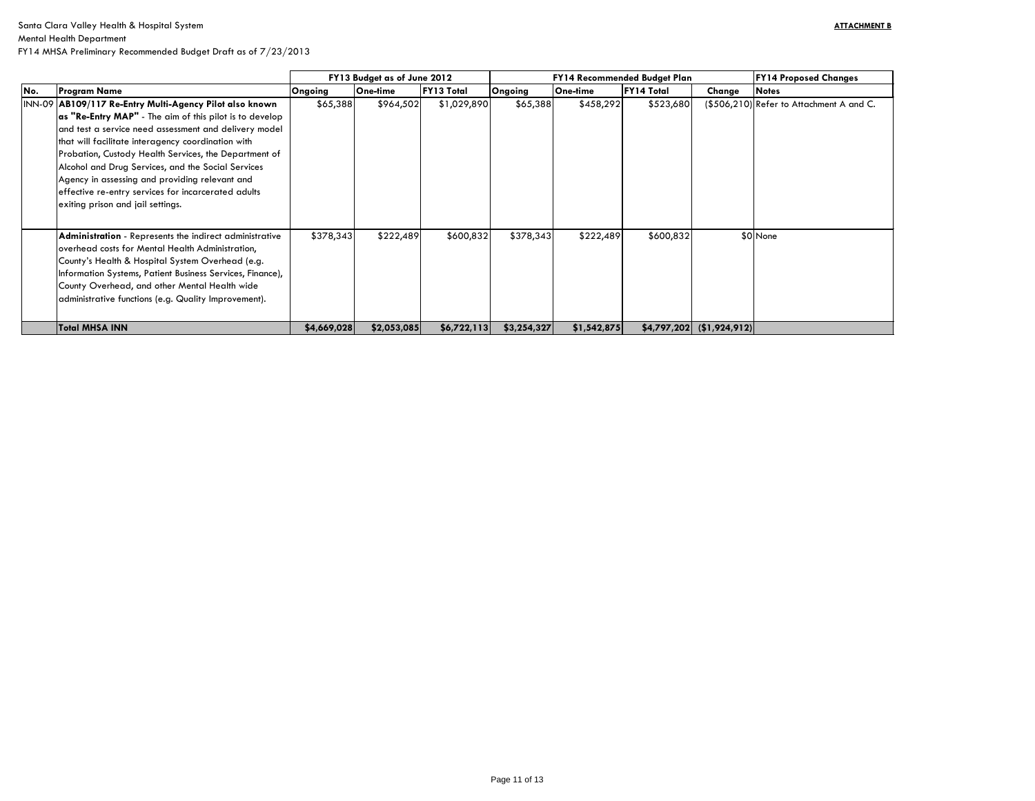| <b>FY14 Proposed Changes</b> |  |  |  |  |  |  |  |  |
|------------------------------|--|--|--|--|--|--|--|--|
| <b>Notes</b>                 |  |  |  |  |  |  |  |  |
| Refer to Attachment A and C. |  |  |  |  |  |  |  |  |
|                              |  |  |  |  |  |  |  |  |
| None                         |  |  |  |  |  |  |  |  |
|                              |  |  |  |  |  |  |  |  |

|     |                                                                                                                                                                                                                                                                                                                                                                                                                                     |              | FY13 Budget as of June 2012 |                   |             | <b>FY14 Recommended Budget Plan</b> | <b>FY14 Proposed Changes</b> |                            |                                          |
|-----|-------------------------------------------------------------------------------------------------------------------------------------------------------------------------------------------------------------------------------------------------------------------------------------------------------------------------------------------------------------------------------------------------------------------------------------|--------------|-----------------------------|-------------------|-------------|-------------------------------------|------------------------------|----------------------------|------------------------------------------|
| No. | <b>Program Name</b>                                                                                                                                                                                                                                                                                                                                                                                                                 | Ongoing      | One-time                    | <b>FY13 Total</b> | Ongoing     | One-time                            | <b>FY14 Total</b>            | Change                     | <b>Notes</b>                             |
|     | INN-09 AB109/117 Re-Entry Multi-Agency Pilot also known                                                                                                                                                                                                                                                                                                                                                                             | \$65,388     | \$964,502                   | \$1,029,890       | \$65,388    | \$458,292                           | \$523,680                    |                            | (\$506,210) Refer to Attachment A and C. |
|     | as "Re-Entry MAP" - The aim of this pilot is to develop<br>and test a service need assessment and delivery model<br>that will facilitate interagency coordination with<br>Probation, Custody Health Services, the Department of<br>Alcohol and Drug Services, and the Social Services<br>Agency in assessing and providing relevant and<br>effective re-entry services for incarcerated adults<br>exiting prison and jail settings. |              |                             |                   |             |                                     |                              |                            |                                          |
|     | Administration - Represents the indirect administrative<br>overhead costs for Mental Health Administration,<br>County's Health & Hospital System Overhead (e.g.<br>Information Systems, Patient Business Services, Finance),<br>County Overhead, and other Mental Health wide<br>administrative functions (e.g. Quality Improvement).                                                                                               | \$378,343    | \$222,489                   | \$600,832         | \$378,343   | \$222,489                           | \$600,832                    |                            | \$0 None                                 |
|     | <b>Total MHSA INN</b>                                                                                                                                                                                                                                                                                                                                                                                                               | \$4,669,028] | \$2,053,085                 | \$6,722,113]      | \$3,254,327 | \$1,542,875                         |                              | $$4,797,202$ (\$1,924,912) |                                          |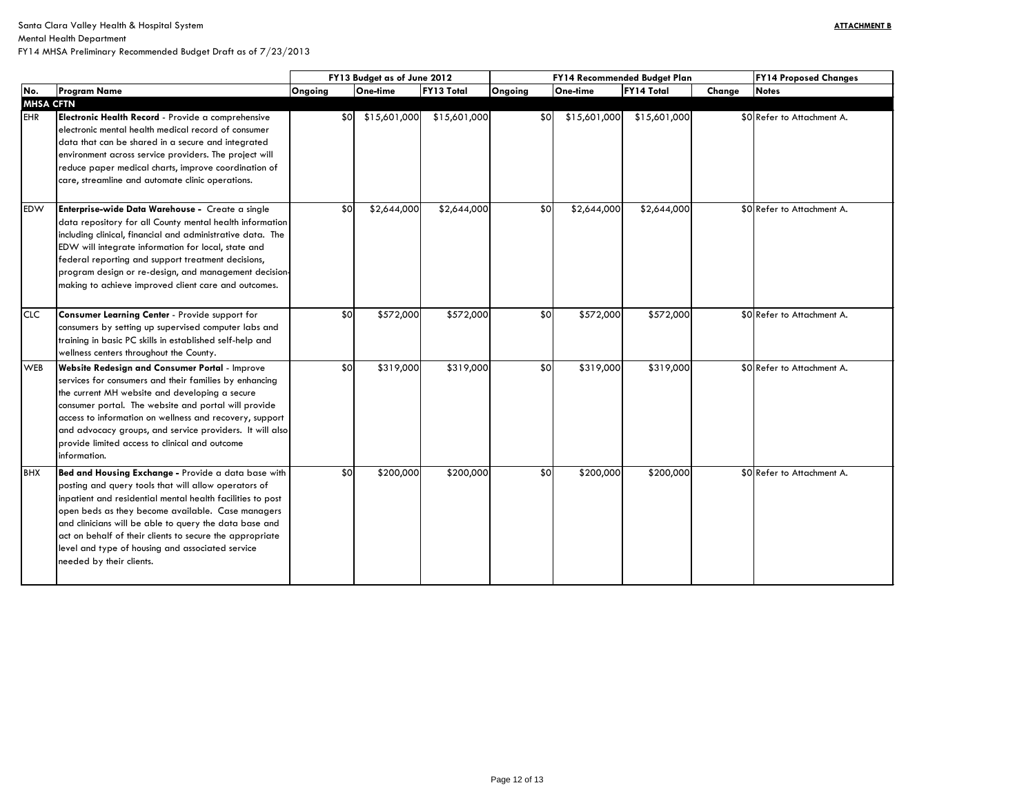Mental Health Department

|                  |                                                                                                                                                                                                                                                                                                                                                                                                                                      | FY13 Budget as of June 2012 |              |                   |         | FY14 Recommended Budget Plan | <b>FY14 Proposed Changes</b> |        |                            |
|------------------|--------------------------------------------------------------------------------------------------------------------------------------------------------------------------------------------------------------------------------------------------------------------------------------------------------------------------------------------------------------------------------------------------------------------------------------|-----------------------------|--------------|-------------------|---------|------------------------------|------------------------------|--------|----------------------------|
| No.              | <b>Program Name</b>                                                                                                                                                                                                                                                                                                                                                                                                                  | Ongoing                     | One-time     | <b>FY13 Total</b> | Ongoing | One-time                     | <b>FY14 Total</b>            | Change | <b>Notes</b>               |
| <b>MHSA CFTN</b> |                                                                                                                                                                                                                                                                                                                                                                                                                                      |                             |              |                   |         |                              |                              |        |                            |
| <b>EHR</b>       | Electronic Health Record - Provide a comprehensive<br>electronic mental health medical record of consumer<br>data that can be shared in a secure and integrated<br>environment across service providers. The project will<br>reduce paper medical charts, improve coordination of<br>care, streamline and automate clinic operations.                                                                                                | \$0 <sub>l</sub>            | \$15,601,000 | \$15,601,000      | \$0     | \$15,601,000                 | \$15,601,000                 |        | \$0 Refer to Attachment A. |
| <b>EDW</b>       | <b>Enterprise-wide Data Warehouse -</b> Create a single<br>data repository for all County mental health information<br>including clinical, financial and administrative data. The<br>EDW will integrate information for local, state and<br>federal reporting and support treatment decisions,<br>program design or re-design, and management decision-<br>making to achieve improved client care and outcomes.                      | \$0                         | \$2,644,000  | \$2,644,000       | \$0     | \$2,644,000                  | \$2,644,000                  |        | \$0 Refer to Attachment A. |
| <b>CLC</b>       | Consumer Learning Center - Provide support for<br>consumers by setting up supervised computer labs and<br>training in basic PC skills in established self-help and<br>wellness centers throughout the County.                                                                                                                                                                                                                        | \$0                         | \$572,000    | \$572,000         | \$0     | \$572,000                    | \$572,000                    |        | \$0 Refer to Attachment A. |
| <b>WEB</b>       | <b>Website Redesign and Consumer Portal - Improve</b><br>services for consumers and their families by enhancing<br>the current MH website and developing a secure<br>consumer portal. The website and portal will provide<br>access to information on wellness and recovery, support<br>and advocacy groups, and service providers. It will also<br>provide limited access to clinical and outcome<br>information.                   | \$0                         | \$319,000    | \$319,000         | \$0     | \$319,000                    | \$319,000                    |        | \$0 Refer to Attachment A. |
| BHX              | Bed and Housing Exchange - Provide a data base with<br>posting and query tools that will allow operators of<br>inpatient and residential mental health facilities to post<br>open beds as they become available. Case managers<br>and clinicians will be able to query the data base and<br>act on behalf of their clients to secure the appropriate<br>level and type of housing and associated service<br>needed by their clients. | \$0                         | \$200,000    | \$200,000         | \$0     | \$200,000                    | \$200,000                    |        | \$0 Refer to Attachment A. |